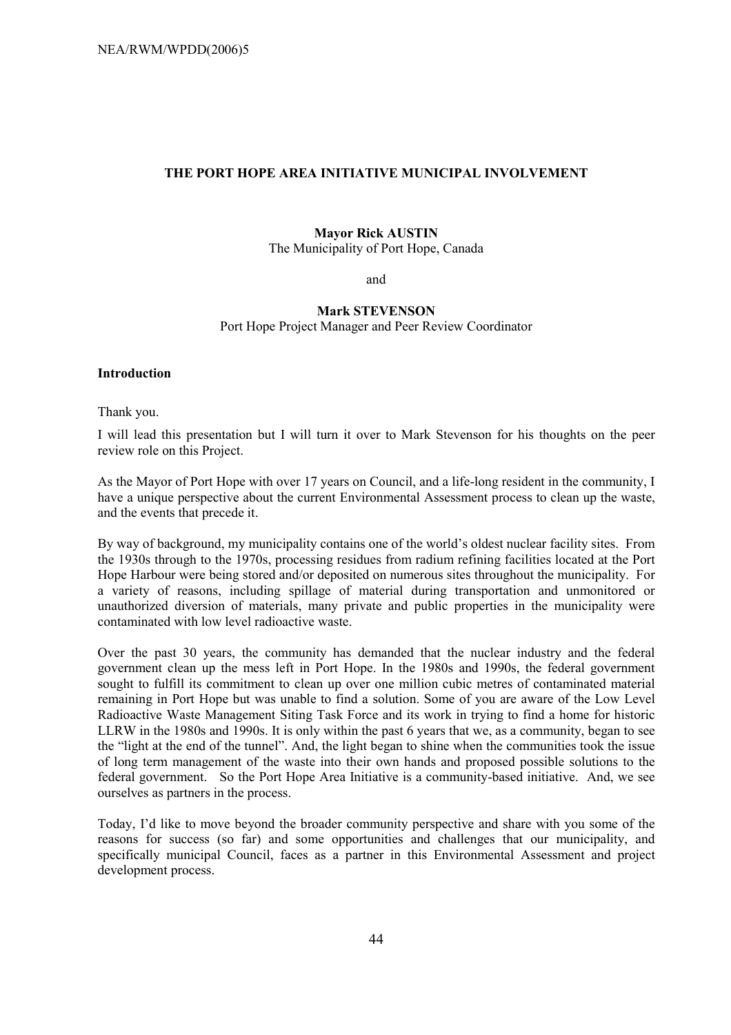## **THE PORT HOPE AREA INITIATIVE MUNICIPAL INVOLVEMENT**

#### **Mayor Rick AUSTIN**

The Municipality of Port Hope, Canada

and

# **Mark STEVENSON**  Port Hope Project Manager and Peer Review Coordinator

#### **Introduction**

Thank you.

I will lead this presentation but I will turn it over to Mark Stevenson for his thoughts on the peer review role on this Project.

As the Mayor of Port Hope with over 17 years on Council, and a life-long resident in the community, I have a unique perspective about the current Environmental Assessment process to clean up the waste, and the events that precede it.

By way of background, my municipality contains one of the world's oldest nuclear facility sites. From the 1930s through to the 1970s, processing residues from radium refining facilities located at the Port Hope Harbour were being stored and/or deposited on numerous sites throughout the municipality. For a variety of reasons, including spillage of material during transportation and unmonitored or unauthorized diversion of materials, many private and public properties in the municipality were contaminated with low level radioactive waste.

Over the past 30 years, the community has demanded that the nuclear industry and the federal government clean up the mess left in Port Hope. In the 1980s and 1990s, the federal government sought to fulfill its commitment to clean up over one million cubic metres of contaminated material remaining in Port Hope but was unable to find a solution. Some of you are aware of the Low Level Radioactive Waste Management Siting Task Force and its work in trying to find a home for historic LLRW in the 1980s and 1990s. It is only within the past 6 years that we, as a community, began to see the "light at the end of the tunnel". And, the light began to shine when the communities took the issue of long term management of the waste into their own hands and proposed possible solutions to the federal government. So the Port Hope Area Initiative is a community-based initiative. And, we see ourselves as partners in the process.

Today, Iíd like to move beyond the broader community perspective and share with you some of the reasons for success (so far) and some opportunities and challenges that our municipality, and specifically municipal Council, faces as a partner in this Environmental Assessment and project development process.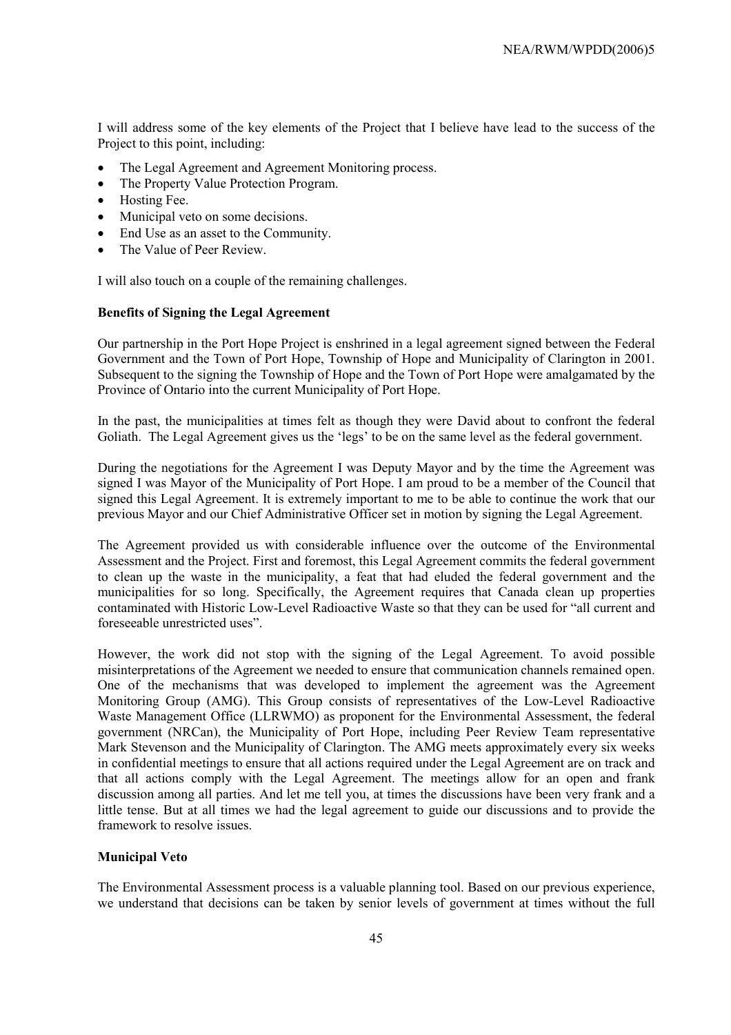I will address some of the key elements of the Project that I believe have lead to the success of the Project to this point, including:

- The Legal Agreement and Agreement Monitoring process.
- The Property Value Protection Program.
- Hosting Fee.
- Municipal veto on some decisions.
- End Use as an asset to the Community.
- The Value of Peer Review.

I will also touch on a couple of the remaining challenges.

#### **Benefits of Signing the Legal Agreement**

Our partnership in the Port Hope Project is enshrined in a legal agreement signed between the Federal Government and the Town of Port Hope, Township of Hope and Municipality of Clarington in 2001. Subsequent to the signing the Township of Hope and the Town of Port Hope were amalgamated by the Province of Ontario into the current Municipality of Port Hope.

In the past, the municipalities at times felt as though they were David about to confront the federal Goliath. The Legal Agreement gives us the 'legs' to be on the same level as the federal government.

During the negotiations for the Agreement I was Deputy Mayor and by the time the Agreement was signed I was Mayor of the Municipality of Port Hope. I am proud to be a member of the Council that signed this Legal Agreement. It is extremely important to me to be able to continue the work that our previous Mayor and our Chief Administrative Officer set in motion by signing the Legal Agreement.

The Agreement provided us with considerable influence over the outcome of the Environmental Assessment and the Project. First and foremost, this Legal Agreement commits the federal government to clean up the waste in the municipality, a feat that had eluded the federal government and the municipalities for so long. Specifically, the Agreement requires that Canada clean up properties contaminated with Historic Low-Level Radioactive Waste so that they can be used for "all current and foreseeable unrestricted uses".

However, the work did not stop with the signing of the Legal Agreement. To avoid possible misinterpretations of the Agreement we needed to ensure that communication channels remained open. One of the mechanisms that was developed to implement the agreement was the Agreement Monitoring Group (AMG). This Group consists of representatives of the Low-Level Radioactive Waste Management Office (LLRWMO) as proponent for the Environmental Assessment, the federal government (NRCan), the Municipality of Port Hope, including Peer Review Team representative Mark Stevenson and the Municipality of Clarington. The AMG meets approximately every six weeks in confidential meetings to ensure that all actions required under the Legal Agreement are on track and that all actions comply with the Legal Agreement. The meetings allow for an open and frank discussion among all parties. And let me tell you, at times the discussions have been very frank and a little tense. But at all times we had the legal agreement to guide our discussions and to provide the framework to resolve issues.

### **Municipal Veto**

The Environmental Assessment process is a valuable planning tool. Based on our previous experience, we understand that decisions can be taken by senior levels of government at times without the full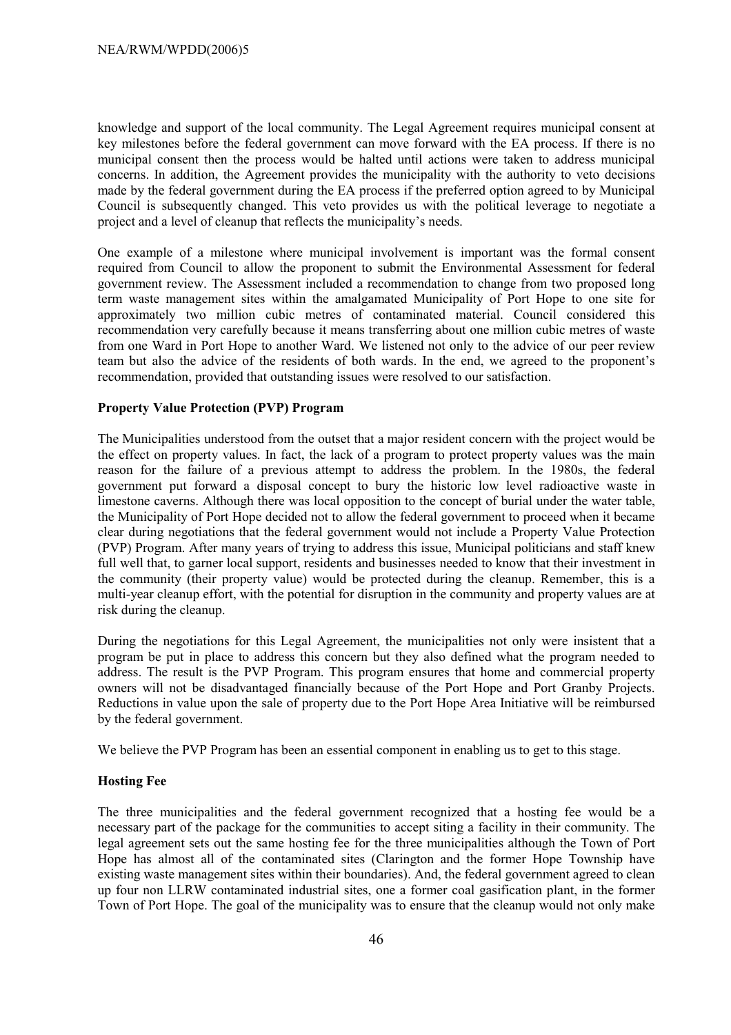knowledge and support of the local community. The Legal Agreement requires municipal consent at key milestones before the federal government can move forward with the EA process. If there is no municipal consent then the process would be halted until actions were taken to address municipal concerns. In addition, the Agreement provides the municipality with the authority to veto decisions made by the federal government during the EA process if the preferred option agreed to by Municipal Council is subsequently changed. This veto provides us with the political leverage to negotiate a project and a level of cleanup that reflects the municipality's needs.

One example of a milestone where municipal involvement is important was the formal consent required from Council to allow the proponent to submit the Environmental Assessment for federal government review. The Assessment included a recommendation to change from two proposed long term waste management sites within the amalgamated Municipality of Port Hope to one site for approximately two million cubic metres of contaminated material. Council considered this recommendation very carefully because it means transferring about one million cubic metres of waste from one Ward in Port Hope to another Ward. We listened not only to the advice of our peer review team but also the advice of the residents of both wards. In the end, we agreed to the proponentís recommendation, provided that outstanding issues were resolved to our satisfaction.

### **Property Value Protection (PVP) Program**

The Municipalities understood from the outset that a major resident concern with the project would be the effect on property values. In fact, the lack of a program to protect property values was the main reason for the failure of a previous attempt to address the problem. In the 1980s, the federal government put forward a disposal concept to bury the historic low level radioactive waste in limestone caverns. Although there was local opposition to the concept of burial under the water table, the Municipality of Port Hope decided not to allow the federal government to proceed when it became clear during negotiations that the federal government would not include a Property Value Protection (PVP) Program. After many years of trying to address this issue, Municipal politicians and staff knew full well that, to garner local support, residents and businesses needed to know that their investment in the community (their property value) would be protected during the cleanup. Remember, this is a multi-year cleanup effort, with the potential for disruption in the community and property values are at risk during the cleanup.

During the negotiations for this Legal Agreement, the municipalities not only were insistent that a program be put in place to address this concern but they also defined what the program needed to address. The result is the PVP Program. This program ensures that home and commercial property owners will not be disadvantaged financially because of the Port Hope and Port Granby Projects. Reductions in value upon the sale of property due to the Port Hope Area Initiative will be reimbursed by the federal government.

We believe the PVP Program has been an essential component in enabling us to get to this stage.

# **Hosting Fee**

The three municipalities and the federal government recognized that a hosting fee would be a necessary part of the package for the communities to accept siting a facility in their community. The legal agreement sets out the same hosting fee for the three municipalities although the Town of Port Hope has almost all of the contaminated sites (Clarington and the former Hope Township have existing waste management sites within their boundaries). And, the federal government agreed to clean up four non LLRW contaminated industrial sites, one a former coal gasification plant, in the former Town of Port Hope. The goal of the municipality was to ensure that the cleanup would not only make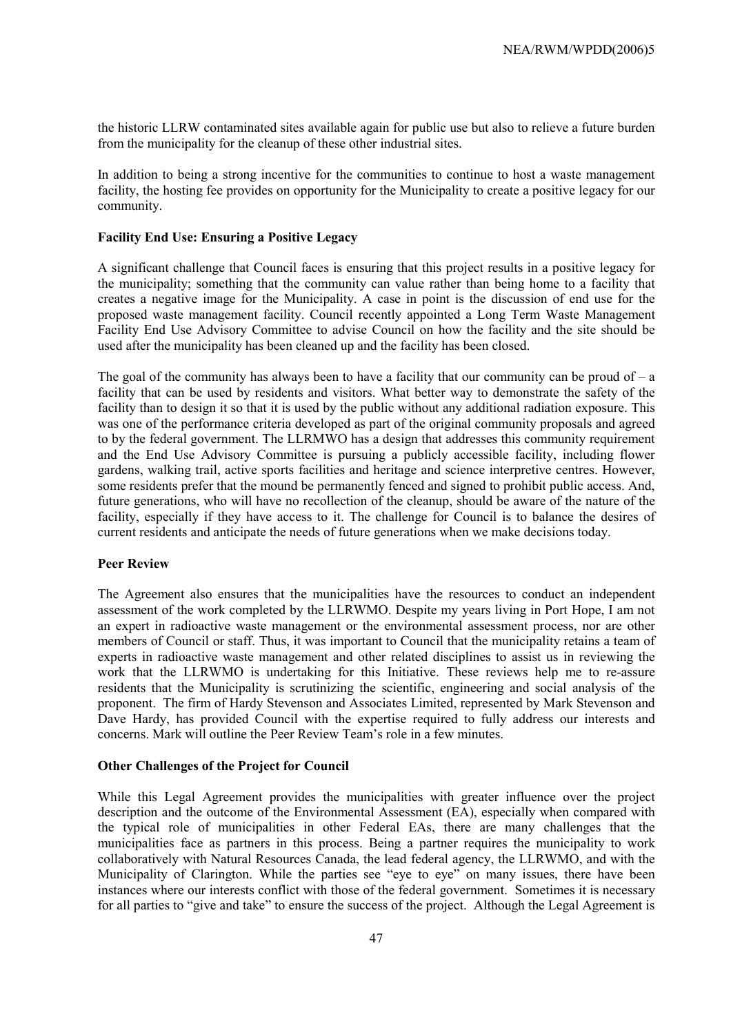the historic LLRW contaminated sites available again for public use but also to relieve a future burden from the municipality for the cleanup of these other industrial sites.

In addition to being a strong incentive for the communities to continue to host a waste management facility, the hosting fee provides on opportunity for the Municipality to create a positive legacy for our community.

#### **Facility End Use: Ensuring a Positive Legacy**

A significant challenge that Council faces is ensuring that this project results in a positive legacy for the municipality; something that the community can value rather than being home to a facility that creates a negative image for the Municipality. A case in point is the discussion of end use for the proposed waste management facility. Council recently appointed a Long Term Waste Management Facility End Use Advisory Committee to advise Council on how the facility and the site should be used after the municipality has been cleaned up and the facility has been closed.

The goal of the community has always been to have a facility that our community can be proud of  $-a$ facility that can be used by residents and visitors. What better way to demonstrate the safety of the facility than to design it so that it is used by the public without any additional radiation exposure. This was one of the performance criteria developed as part of the original community proposals and agreed to by the federal government. The LLRMWO has a design that addresses this community requirement and the End Use Advisory Committee is pursuing a publicly accessible facility, including flower gardens, walking trail, active sports facilities and heritage and science interpretive centres. However, some residents prefer that the mound be permanently fenced and signed to prohibit public access. And, future generations, who will have no recollection of the cleanup, should be aware of the nature of the facility, especially if they have access to it. The challenge for Council is to balance the desires of current residents and anticipate the needs of future generations when we make decisions today.

#### **Peer Review**

The Agreement also ensures that the municipalities have the resources to conduct an independent assessment of the work completed by the LLRWMO. Despite my years living in Port Hope, I am not an expert in radioactive waste management or the environmental assessment process, nor are other members of Council or staff. Thus, it was important to Council that the municipality retains a team of experts in radioactive waste management and other related disciplines to assist us in reviewing the work that the LLRWMO is undertaking for this Initiative. These reviews help me to re-assure residents that the Municipality is scrutinizing the scientific, engineering and social analysis of the proponent. The firm of Hardy Stevenson and Associates Limited, represented by Mark Stevenson and Dave Hardy, has provided Council with the expertise required to fully address our interests and concerns. Mark will outline the Peer Review Team's role in a few minutes.

#### **Other Challenges of the Project for Council**

While this Legal Agreement provides the municipalities with greater influence over the project description and the outcome of the Environmental Assessment (EA), especially when compared with the typical role of municipalities in other Federal EAs, there are many challenges that the municipalities face as partners in this process. Being a partner requires the municipality to work collaboratively with Natural Resources Canada, the lead federal agency, the LLRWMO, and with the Municipality of Clarington. While the parties see "eye to eye" on many issues, there have been instances where our interests conflict with those of the federal government. Sometimes it is necessary for all parties to "give and take" to ensure the success of the project. Although the Legal Agreement is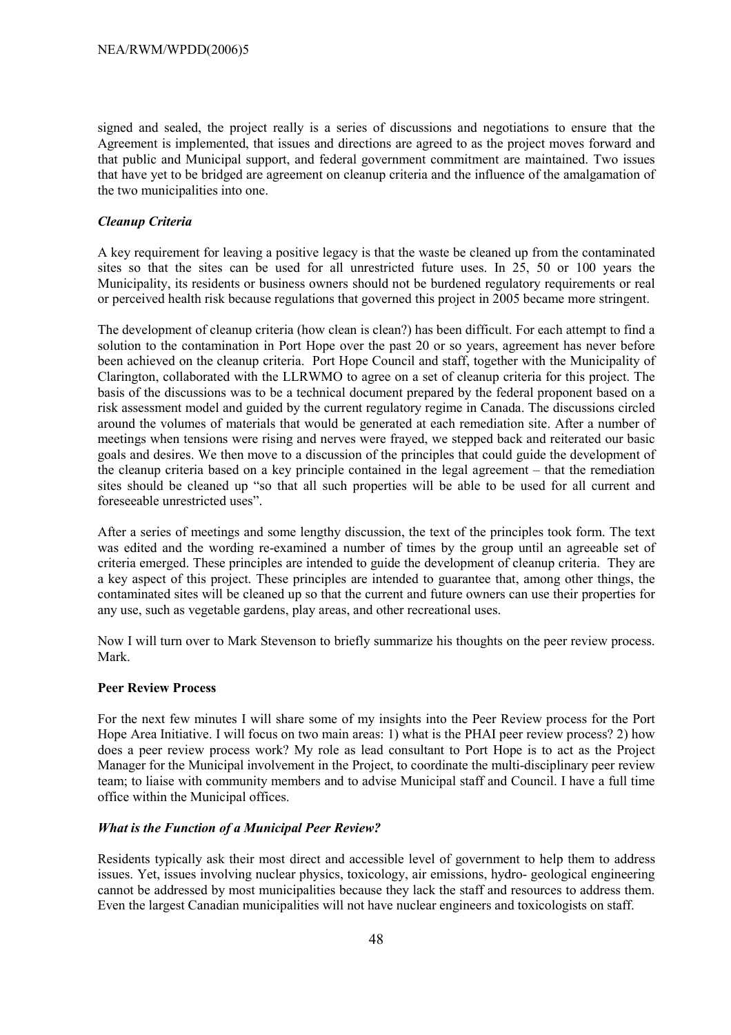signed and sealed, the project really is a series of discussions and negotiations to ensure that the Agreement is implemented, that issues and directions are agreed to as the project moves forward and that public and Municipal support, and federal government commitment are maintained. Two issues that have yet to be bridged are agreement on cleanup criteria and the influence of the amalgamation of the two municipalities into one.

### *Cleanup Criteria*

A key requirement for leaving a positive legacy is that the waste be cleaned up from the contaminated sites so that the sites can be used for all unrestricted future uses. In 25, 50 or 100 years the Municipality, its residents or business owners should not be burdened regulatory requirements or real or perceived health risk because regulations that governed this project in 2005 became more stringent.

The development of cleanup criteria (how clean is clean?) has been difficult. For each attempt to find a solution to the contamination in Port Hope over the past 20 or so years, agreement has never before been achieved on the cleanup criteria. Port Hope Council and staff, together with the Municipality of Clarington, collaborated with the LLRWMO to agree on a set of cleanup criteria for this project. The basis of the discussions was to be a technical document prepared by the federal proponent based on a risk assessment model and guided by the current regulatory regime in Canada. The discussions circled around the volumes of materials that would be generated at each remediation site. After a number of meetings when tensions were rising and nerves were frayed, we stepped back and reiterated our basic goals and desires. We then move to a discussion of the principles that could guide the development of the cleanup criteria based on a key principle contained in the legal agreement  $-$  that the remediation sites should be cleaned up "so that all such properties will be able to be used for all current and foreseeable unrestricted uses".

After a series of meetings and some lengthy discussion, the text of the principles took form. The text was edited and the wording re-examined a number of times by the group until an agreeable set of criteria emerged. These principles are intended to guide the development of cleanup criteria. They are a key aspect of this project. These principles are intended to guarantee that, among other things, the contaminated sites will be cleaned up so that the current and future owners can use their properties for any use, such as vegetable gardens, play areas, and other recreational uses.

Now I will turn over to Mark Stevenson to briefly summarize his thoughts on the peer review process. Mark.

### **Peer Review Process**

For the next few minutes I will share some of my insights into the Peer Review process for the Port Hope Area Initiative. I will focus on two main areas: 1) what is the PHAI peer review process? 2) how does a peer review process work? My role as lead consultant to Port Hope is to act as the Project Manager for the Municipal involvement in the Project, to coordinate the multi-disciplinary peer review team; to liaise with community members and to advise Municipal staff and Council. I have a full time office within the Municipal offices.

### *What is the Function of a Municipal Peer Review?*

Residents typically ask their most direct and accessible level of government to help them to address issues. Yet, issues involving nuclear physics, toxicology, air emissions, hydro- geological engineering cannot be addressed by most municipalities because they lack the staff and resources to address them. Even the largest Canadian municipalities will not have nuclear engineers and toxicologists on staff.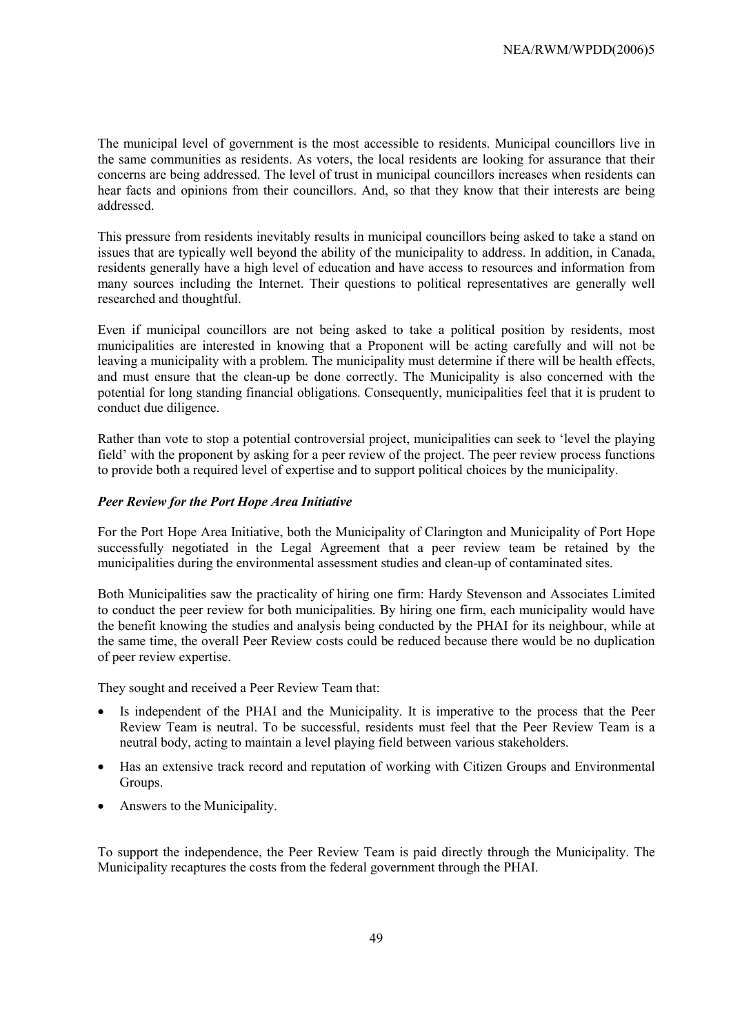The municipal level of government is the most accessible to residents. Municipal councillors live in the same communities as residents. As voters, the local residents are looking for assurance that their concerns are being addressed. The level of trust in municipal councillors increases when residents can hear facts and opinions from their councillors. And, so that they know that their interests are being addressed.

This pressure from residents inevitably results in municipal councillors being asked to take a stand on issues that are typically well beyond the ability of the municipality to address. In addition, in Canada, residents generally have a high level of education and have access to resources and information from many sources including the Internet. Their questions to political representatives are generally well researched and thoughtful.

Even if municipal councillors are not being asked to take a political position by residents, most municipalities are interested in knowing that a Proponent will be acting carefully and will not be leaving a municipality with a problem. The municipality must determine if there will be health effects, and must ensure that the clean-up be done correctly. The Municipality is also concerned with the potential for long standing financial obligations. Consequently, municipalities feel that it is prudent to conduct due diligence.

Rather than vote to stop a potential controversial project, municipalities can seek to 'level the playing field' with the proponent by asking for a peer review of the project. The peer review process functions to provide both a required level of expertise and to support political choices by the municipality.

#### *Peer Review for the Port Hope Area Initiative*

For the Port Hope Area Initiative, both the Municipality of Clarington and Municipality of Port Hope successfully negotiated in the Legal Agreement that a peer review team be retained by the municipalities during the environmental assessment studies and clean-up of contaminated sites.

Both Municipalities saw the practicality of hiring one firm: Hardy Stevenson and Associates Limited to conduct the peer review for both municipalities. By hiring one firm, each municipality would have the benefit knowing the studies and analysis being conducted by the PHAI for its neighbour, while at the same time, the overall Peer Review costs could be reduced because there would be no duplication of peer review expertise.

They sought and received a Peer Review Team that:

- Is independent of the PHAI and the Municipality. It is imperative to the process that the Peer Review Team is neutral. To be successful, residents must feel that the Peer Review Team is a neutral body, acting to maintain a level playing field between various stakeholders.
- Has an extensive track record and reputation of working with Citizen Groups and Environmental Groups.
- Answers to the Municipality.

To support the independence, the Peer Review Team is paid directly through the Municipality. The Municipality recaptures the costs from the federal government through the PHAI.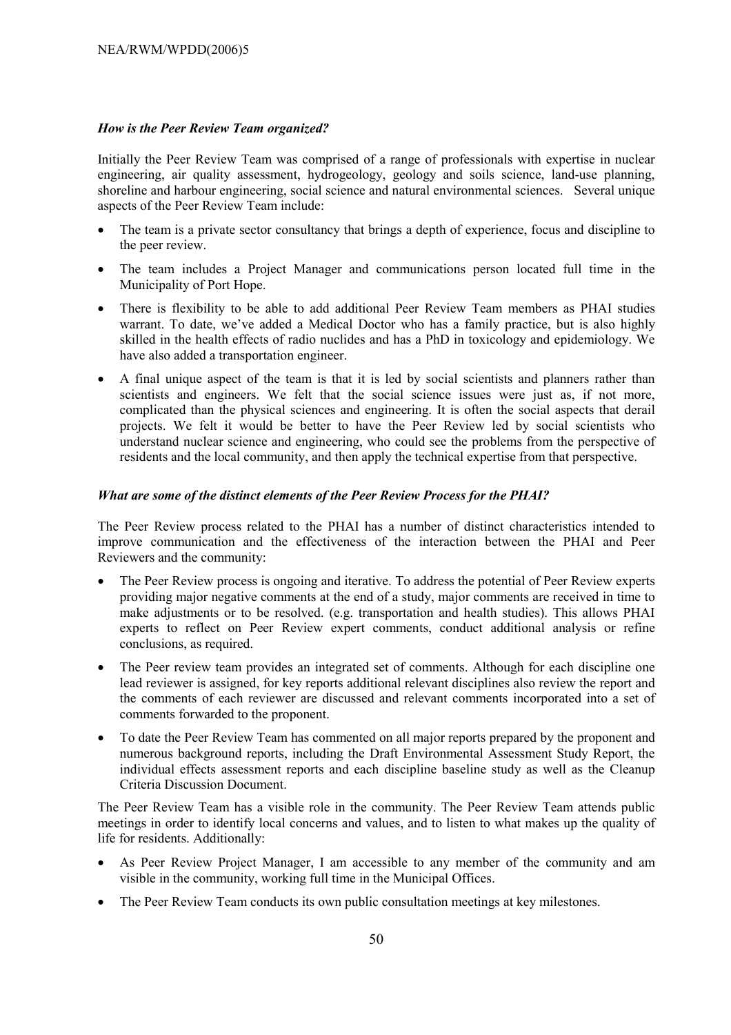## *How is the Peer Review Team organized?*

Initially the Peer Review Team was comprised of a range of professionals with expertise in nuclear engineering, air quality assessment, hydrogeology, geology and soils science, land-use planning, shoreline and harbour engineering, social science and natural environmental sciences. Several unique aspects of the Peer Review Team include:

- The team is a private sector consultancy that brings a depth of experience, focus and discipline to the peer review.
- The team includes a Project Manager and communications person located full time in the Municipality of Port Hope.
- There is flexibility to be able to add additional Peer Review Team members as PHAI studies warrant. To date, we've added a Medical Doctor who has a family practice, but is also highly skilled in the health effects of radio nuclides and has a PhD in toxicology and epidemiology. We have also added a transportation engineer.
- A final unique aspect of the team is that it is led by social scientists and planners rather than scientists and engineers. We felt that the social science issues were just as, if not more, complicated than the physical sciences and engineering. It is often the social aspects that derail projects. We felt it would be better to have the Peer Review led by social scientists who understand nuclear science and engineering, who could see the problems from the perspective of residents and the local community, and then apply the technical expertise from that perspective.

## *What are some of the distinct elements of the Peer Review Process for the PHAI?*

The Peer Review process related to the PHAI has a number of distinct characteristics intended to improve communication and the effectiveness of the interaction between the PHAI and Peer Reviewers and the community:

- The Peer Review process is ongoing and iterative. To address the potential of Peer Review experts providing major negative comments at the end of a study, major comments are received in time to make adjustments or to be resolved. (e.g. transportation and health studies). This allows PHAI experts to reflect on Peer Review expert comments, conduct additional analysis or refine conclusions, as required.
- The Peer review team provides an integrated set of comments. Although for each discipline one lead reviewer is assigned, for key reports additional relevant disciplines also review the report and the comments of each reviewer are discussed and relevant comments incorporated into a set of comments forwarded to the proponent.
- To date the Peer Review Team has commented on all major reports prepared by the proponent and numerous background reports, including the Draft Environmental Assessment Study Report, the individual effects assessment reports and each discipline baseline study as well as the Cleanup Criteria Discussion Document.

The Peer Review Team has a visible role in the community. The Peer Review Team attends public meetings in order to identify local concerns and values, and to listen to what makes up the quality of life for residents. Additionally:

- As Peer Review Project Manager, I am accessible to any member of the community and am visible in the community, working full time in the Municipal Offices.
- The Peer Review Team conducts its own public consultation meetings at key milestones.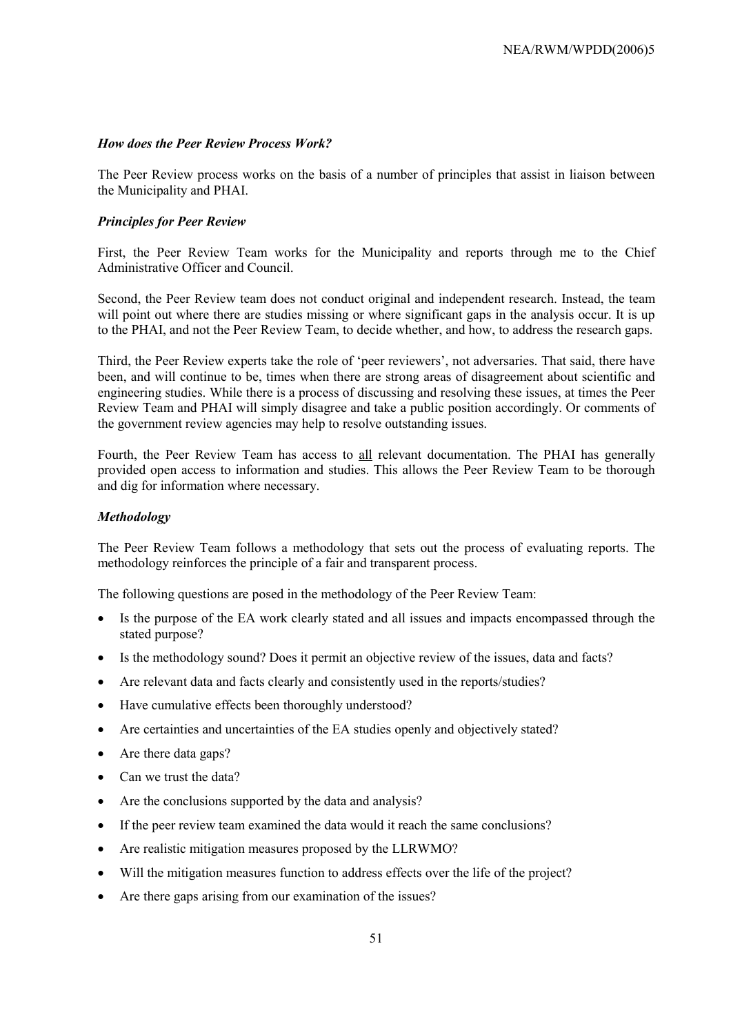#### *How does the Peer Review Process Work?*

The Peer Review process works on the basis of a number of principles that assist in liaison between the Municipality and PHAI.

### *Principles for Peer Review*

First, the Peer Review Team works for the Municipality and reports through me to the Chief Administrative Officer and Council.

Second, the Peer Review team does not conduct original and independent research. Instead, the team will point out where there are studies missing or where significant gaps in the analysis occur. It is up to the PHAI, and not the Peer Review Team, to decide whether, and how, to address the research gaps.

Third, the Peer Review experts take the role of 'peer reviewers', not adversaries. That said, there have been, and will continue to be, times when there are strong areas of disagreement about scientific and engineering studies. While there is a process of discussing and resolving these issues, at times the Peer Review Team and PHAI will simply disagree and take a public position accordingly. Or comments of the government review agencies may help to resolve outstanding issues.

Fourth, the Peer Review Team has access to all relevant documentation. The PHAI has generally provided open access to information and studies. This allows the Peer Review Team to be thorough and dig for information where necessary.

#### *Methodology*

The Peer Review Team follows a methodology that sets out the process of evaluating reports. The methodology reinforces the principle of a fair and transparent process.

The following questions are posed in the methodology of the Peer Review Team:

- Is the purpose of the EA work clearly stated and all issues and impacts encompassed through the stated purpose?
- Is the methodology sound? Does it permit an objective review of the issues, data and facts?
- Are relevant data and facts clearly and consistently used in the reports/studies?
- Have cumulative effects been thoroughly understood?
- Are certainties and uncertainties of the EA studies openly and objectively stated?
- Are there data gaps?
- Can we trust the data?
- Are the conclusions supported by the data and analysis?
- If the peer review team examined the data would it reach the same conclusions?
- Are realistic mitigation measures proposed by the LLRWMO?
- Will the mitigation measures function to address effects over the life of the project?
- Are there gaps arising from our examination of the issues?